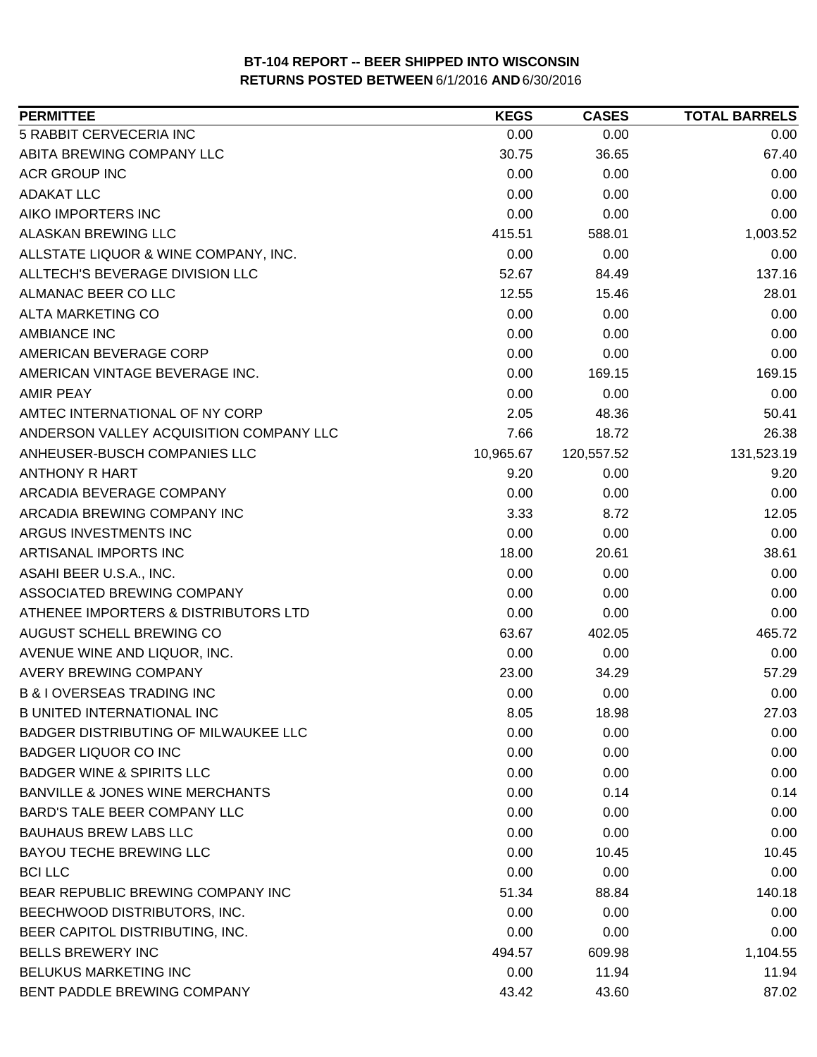| <b>PERMITTEE</b>                           | <b>KEGS</b> | <b>CASES</b> | <b>TOTAL BARRELS</b> |
|--------------------------------------------|-------------|--------------|----------------------|
| 5 RABBIT CERVECERIA INC                    | 0.00        | 0.00         | 0.00                 |
| ABITA BREWING COMPANY LLC                  | 30.75       | 36.65        | 67.40                |
| <b>ACR GROUP INC</b>                       | 0.00        | 0.00         | 0.00                 |
| <b>ADAKAT LLC</b>                          | 0.00        | 0.00         | 0.00                 |
| AIKO IMPORTERS INC                         | 0.00        | 0.00         | 0.00                 |
| ALASKAN BREWING LLC                        | 415.51      | 588.01       | 1,003.52             |
| ALLSTATE LIQUOR & WINE COMPANY, INC.       | 0.00        | 0.00         | 0.00                 |
| ALLTECH'S BEVERAGE DIVISION LLC            | 52.67       | 84.49        | 137.16               |
| ALMANAC BEER CO LLC                        | 12.55       | 15.46        | 28.01                |
| ALTA MARKETING CO                          | 0.00        | 0.00         | 0.00                 |
| <b>AMBIANCE INC</b>                        | 0.00        | 0.00         | 0.00                 |
| AMERICAN BEVERAGE CORP                     | 0.00        | 0.00         | 0.00                 |
| AMERICAN VINTAGE BEVERAGE INC.             | 0.00        | 169.15       | 169.15               |
| <b>AMIR PEAY</b>                           | 0.00        | 0.00         | 0.00                 |
| AMTEC INTERNATIONAL OF NY CORP             | 2.05        | 48.36        | 50.41                |
| ANDERSON VALLEY ACQUISITION COMPANY LLC    | 7.66        | 18.72        | 26.38                |
| ANHEUSER-BUSCH COMPANIES LLC               | 10,965.67   | 120,557.52   | 131,523.19           |
| <b>ANTHONY R HART</b>                      | 9.20        | 0.00         | 9.20                 |
| ARCADIA BEVERAGE COMPANY                   | 0.00        | 0.00         | 0.00                 |
| ARCADIA BREWING COMPANY INC                | 3.33        | 8.72         | 12.05                |
| ARGUS INVESTMENTS INC                      | 0.00        | 0.00         | 0.00                 |
| ARTISANAL IMPORTS INC                      | 18.00       | 20.61        | 38.61                |
| ASAHI BEER U.S.A., INC.                    | 0.00        | 0.00         | 0.00                 |
| ASSOCIATED BREWING COMPANY                 | 0.00        | 0.00         | 0.00                 |
| ATHENEE IMPORTERS & DISTRIBUTORS LTD       | 0.00        | 0.00         | 0.00                 |
| AUGUST SCHELL BREWING CO                   | 63.67       | 402.05       | 465.72               |
| AVENUE WINE AND LIQUOR, INC.               | 0.00        | 0.00         | 0.00                 |
| <b>AVERY BREWING COMPANY</b>               | 23.00       | 34.29        | 57.29                |
| <b>B &amp; I OVERSEAS TRADING INC</b>      | 0.00        | 0.00         | 0.00                 |
| <b>B UNITED INTERNATIONAL INC</b>          | 8.05        | 18.98        | 27.03                |
| BADGER DISTRIBUTING OF MILWAUKEE LLC       | 0.00        | 0.00         | 0.00                 |
| <b>BADGER LIQUOR CO INC</b>                | 0.00        | 0.00         | 0.00                 |
| <b>BADGER WINE &amp; SPIRITS LLC</b>       | 0.00        | 0.00         | 0.00                 |
| <b>BANVILLE &amp; JONES WINE MERCHANTS</b> | 0.00        | 0.14         | 0.14                 |
| <b>BARD'S TALE BEER COMPANY LLC</b>        | 0.00        | 0.00         | 0.00                 |
| <b>BAUHAUS BREW LABS LLC</b>               | 0.00        | 0.00         | 0.00                 |
| <b>BAYOU TECHE BREWING LLC</b>             | 0.00        | 10.45        | 10.45                |
| <b>BCILLC</b>                              | 0.00        | 0.00         | 0.00                 |
| BEAR REPUBLIC BREWING COMPANY INC          | 51.34       | 88.84        | 140.18               |
| BEECHWOOD DISTRIBUTORS, INC.               | 0.00        | 0.00         | 0.00                 |
| BEER CAPITOL DISTRIBUTING, INC.            | 0.00        | 0.00         | 0.00                 |
| <b>BELLS BREWERY INC</b>                   | 494.57      | 609.98       | 1,104.55             |
| <b>BELUKUS MARKETING INC</b>               | 0.00        | 11.94        | 11.94                |
| BENT PADDLE BREWING COMPANY                | 43.42       | 43.60        | 87.02                |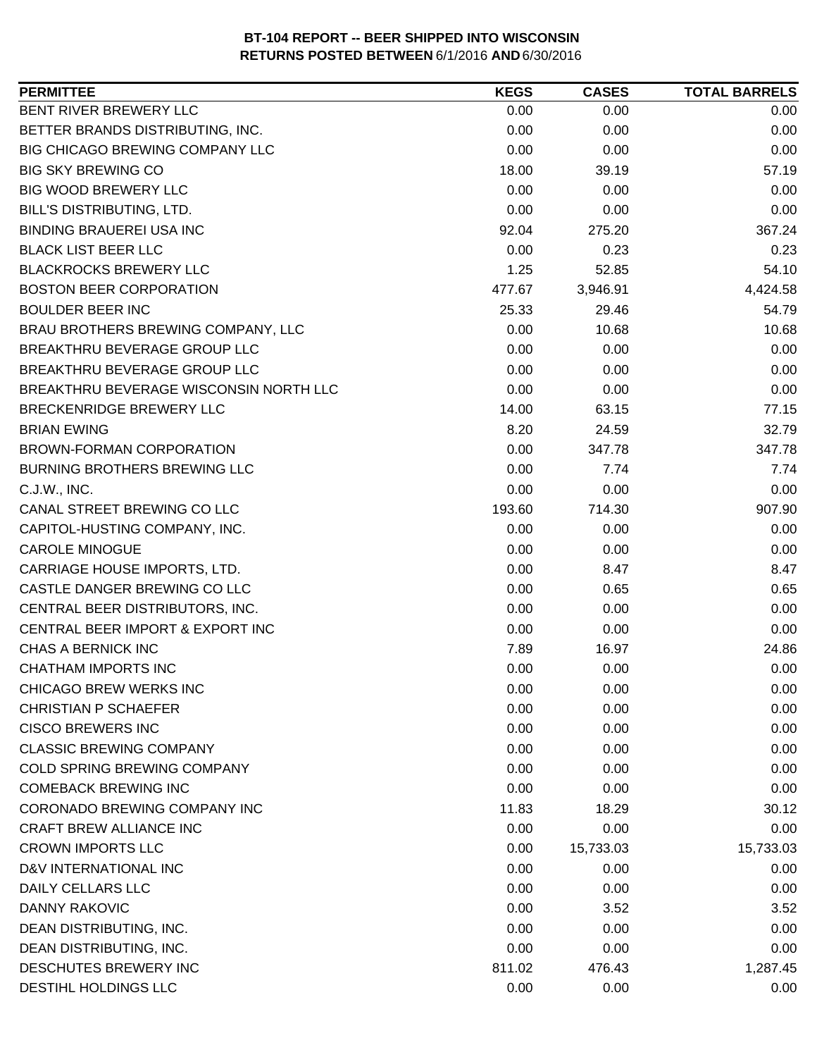| 0.00<br>0.00<br>0.00<br>0.00<br>0.00<br>0.00<br>0.00<br>0.00<br>0.00<br>57.19<br>18.00<br>39.19<br>0.00<br>0.00<br>0.00<br>0.00<br>0.00<br>0.00<br>367.24<br>92.04<br>275.20<br>0.00<br>0.23<br>0.23<br>1.25<br>52.85<br>54.10<br>4,424.58<br>477.67<br>3,946.91<br>25.33<br>29.46<br>54.79<br>0.00<br>10.68<br>10.68<br>0.00<br>0.00<br>0.00<br>0.00<br>0.00<br>0.00<br>0.00<br>0.00<br>0.00<br>14.00<br>63.15<br>77.15<br>8.20<br>24.59<br>32.79<br>0.00<br>347.78<br>347.78<br>0.00<br>7.74<br>7.74<br>0.00<br>0.00<br>0.00<br>193.60<br>714.30<br>907.90<br>0.00<br>0.00<br>0.00<br>0.00<br>0.00<br>0.00<br>0.00<br>8.47<br>8.47<br>0.00<br>0.65<br>0.65<br>0.00<br>0.00<br>0.00<br>0.00<br>0.00<br>0.00<br>7.89<br>24.86<br>16.97<br>0.00<br>0.00<br>0.00<br>0.00<br>0.00<br>0.00<br>0.00<br>0.00<br>0.00<br>0.00<br>0.00<br>0.00<br>0.00<br>0.00<br>0.00<br>0.00<br>0.00<br>0.00<br>0.00<br>0.00<br>0.00<br>11.83<br>18.29<br>30.12<br>0.00<br>0.00<br>0.00<br>15,733.03<br>0.00<br>15,733.03<br>0.00<br>0.00<br>0.00<br>0.00<br>0.00<br>0.00<br>0.00<br>3.52<br>3.52<br>0.00<br>0.00<br>0.00<br>0.00<br>0.00<br>0.00<br>811.02<br>476.43<br>1,287.45<br>0.00<br>0.00<br>0.00 | <b>PERMITTEE</b>                       | <b>KEGS</b> | <b>CASES</b> | <b>TOTAL BARRELS</b> |
|-------------------------------------------------------------------------------------------------------------------------------------------------------------------------------------------------------------------------------------------------------------------------------------------------------------------------------------------------------------------------------------------------------------------------------------------------------------------------------------------------------------------------------------------------------------------------------------------------------------------------------------------------------------------------------------------------------------------------------------------------------------------------------------------------------------------------------------------------------------------------------------------------------------------------------------------------------------------------------------------------------------------------------------------------------------------------------------------------------------------------------------------------------------------------------------|----------------------------------------|-------------|--------------|----------------------|
|                                                                                                                                                                                                                                                                                                                                                                                                                                                                                                                                                                                                                                                                                                                                                                                                                                                                                                                                                                                                                                                                                                                                                                                     | BENT RIVER BREWERY LLC                 |             |              |                      |
|                                                                                                                                                                                                                                                                                                                                                                                                                                                                                                                                                                                                                                                                                                                                                                                                                                                                                                                                                                                                                                                                                                                                                                                     | BETTER BRANDS DISTRIBUTING, INC.       |             |              |                      |
|                                                                                                                                                                                                                                                                                                                                                                                                                                                                                                                                                                                                                                                                                                                                                                                                                                                                                                                                                                                                                                                                                                                                                                                     | BIG CHICAGO BREWING COMPANY LLC        |             |              |                      |
|                                                                                                                                                                                                                                                                                                                                                                                                                                                                                                                                                                                                                                                                                                                                                                                                                                                                                                                                                                                                                                                                                                                                                                                     | <b>BIG SKY BREWING CO</b>              |             |              |                      |
|                                                                                                                                                                                                                                                                                                                                                                                                                                                                                                                                                                                                                                                                                                                                                                                                                                                                                                                                                                                                                                                                                                                                                                                     | <b>BIG WOOD BREWERY LLC</b>            |             |              |                      |
|                                                                                                                                                                                                                                                                                                                                                                                                                                                                                                                                                                                                                                                                                                                                                                                                                                                                                                                                                                                                                                                                                                                                                                                     | BILL'S DISTRIBUTING, LTD.              |             |              |                      |
|                                                                                                                                                                                                                                                                                                                                                                                                                                                                                                                                                                                                                                                                                                                                                                                                                                                                                                                                                                                                                                                                                                                                                                                     | <b>BINDING BRAUEREI USA INC</b>        |             |              |                      |
|                                                                                                                                                                                                                                                                                                                                                                                                                                                                                                                                                                                                                                                                                                                                                                                                                                                                                                                                                                                                                                                                                                                                                                                     | <b>BLACK LIST BEER LLC</b>             |             |              |                      |
|                                                                                                                                                                                                                                                                                                                                                                                                                                                                                                                                                                                                                                                                                                                                                                                                                                                                                                                                                                                                                                                                                                                                                                                     | <b>BLACKROCKS BREWERY LLC</b>          |             |              |                      |
|                                                                                                                                                                                                                                                                                                                                                                                                                                                                                                                                                                                                                                                                                                                                                                                                                                                                                                                                                                                                                                                                                                                                                                                     | <b>BOSTON BEER CORPORATION</b>         |             |              |                      |
|                                                                                                                                                                                                                                                                                                                                                                                                                                                                                                                                                                                                                                                                                                                                                                                                                                                                                                                                                                                                                                                                                                                                                                                     | <b>BOULDER BEER INC</b>                |             |              |                      |
|                                                                                                                                                                                                                                                                                                                                                                                                                                                                                                                                                                                                                                                                                                                                                                                                                                                                                                                                                                                                                                                                                                                                                                                     | BRAU BROTHERS BREWING COMPANY, LLC     |             |              |                      |
|                                                                                                                                                                                                                                                                                                                                                                                                                                                                                                                                                                                                                                                                                                                                                                                                                                                                                                                                                                                                                                                                                                                                                                                     | BREAKTHRU BEVERAGE GROUP LLC           |             |              |                      |
|                                                                                                                                                                                                                                                                                                                                                                                                                                                                                                                                                                                                                                                                                                                                                                                                                                                                                                                                                                                                                                                                                                                                                                                     | BREAKTHRU BEVERAGE GROUP LLC           |             |              |                      |
|                                                                                                                                                                                                                                                                                                                                                                                                                                                                                                                                                                                                                                                                                                                                                                                                                                                                                                                                                                                                                                                                                                                                                                                     | BREAKTHRU BEVERAGE WISCONSIN NORTH LLC |             |              |                      |
|                                                                                                                                                                                                                                                                                                                                                                                                                                                                                                                                                                                                                                                                                                                                                                                                                                                                                                                                                                                                                                                                                                                                                                                     | BRECKENRIDGE BREWERY LLC               |             |              |                      |
|                                                                                                                                                                                                                                                                                                                                                                                                                                                                                                                                                                                                                                                                                                                                                                                                                                                                                                                                                                                                                                                                                                                                                                                     | <b>BRIAN EWING</b>                     |             |              |                      |
|                                                                                                                                                                                                                                                                                                                                                                                                                                                                                                                                                                                                                                                                                                                                                                                                                                                                                                                                                                                                                                                                                                                                                                                     | <b>BROWN-FORMAN CORPORATION</b>        |             |              |                      |
|                                                                                                                                                                                                                                                                                                                                                                                                                                                                                                                                                                                                                                                                                                                                                                                                                                                                                                                                                                                                                                                                                                                                                                                     | <b>BURNING BROTHERS BREWING LLC</b>    |             |              |                      |
|                                                                                                                                                                                                                                                                                                                                                                                                                                                                                                                                                                                                                                                                                                                                                                                                                                                                                                                                                                                                                                                                                                                                                                                     | C.J.W., INC.                           |             |              |                      |
|                                                                                                                                                                                                                                                                                                                                                                                                                                                                                                                                                                                                                                                                                                                                                                                                                                                                                                                                                                                                                                                                                                                                                                                     | CANAL STREET BREWING CO LLC            |             |              |                      |
|                                                                                                                                                                                                                                                                                                                                                                                                                                                                                                                                                                                                                                                                                                                                                                                                                                                                                                                                                                                                                                                                                                                                                                                     | CAPITOL-HUSTING COMPANY, INC.          |             |              |                      |
|                                                                                                                                                                                                                                                                                                                                                                                                                                                                                                                                                                                                                                                                                                                                                                                                                                                                                                                                                                                                                                                                                                                                                                                     | <b>CAROLE MINOGUE</b>                  |             |              |                      |
|                                                                                                                                                                                                                                                                                                                                                                                                                                                                                                                                                                                                                                                                                                                                                                                                                                                                                                                                                                                                                                                                                                                                                                                     | CARRIAGE HOUSE IMPORTS, LTD.           |             |              |                      |
|                                                                                                                                                                                                                                                                                                                                                                                                                                                                                                                                                                                                                                                                                                                                                                                                                                                                                                                                                                                                                                                                                                                                                                                     | CASTLE DANGER BREWING CO LLC           |             |              |                      |
|                                                                                                                                                                                                                                                                                                                                                                                                                                                                                                                                                                                                                                                                                                                                                                                                                                                                                                                                                                                                                                                                                                                                                                                     | CENTRAL BEER DISTRIBUTORS, INC.        |             |              |                      |
|                                                                                                                                                                                                                                                                                                                                                                                                                                                                                                                                                                                                                                                                                                                                                                                                                                                                                                                                                                                                                                                                                                                                                                                     | CENTRAL BEER IMPORT & EXPORT INC       |             |              |                      |
|                                                                                                                                                                                                                                                                                                                                                                                                                                                                                                                                                                                                                                                                                                                                                                                                                                                                                                                                                                                                                                                                                                                                                                                     | <b>CHAS A BERNICK INC</b>              |             |              |                      |
|                                                                                                                                                                                                                                                                                                                                                                                                                                                                                                                                                                                                                                                                                                                                                                                                                                                                                                                                                                                                                                                                                                                                                                                     | <b>CHATHAM IMPORTS INC</b>             |             |              |                      |
|                                                                                                                                                                                                                                                                                                                                                                                                                                                                                                                                                                                                                                                                                                                                                                                                                                                                                                                                                                                                                                                                                                                                                                                     | <b>CHICAGO BREW WERKS INC</b>          |             |              |                      |
|                                                                                                                                                                                                                                                                                                                                                                                                                                                                                                                                                                                                                                                                                                                                                                                                                                                                                                                                                                                                                                                                                                                                                                                     | <b>CHRISTIAN P SCHAEFER</b>            |             |              |                      |
|                                                                                                                                                                                                                                                                                                                                                                                                                                                                                                                                                                                                                                                                                                                                                                                                                                                                                                                                                                                                                                                                                                                                                                                     | <b>CISCO BREWERS INC</b>               |             |              |                      |
|                                                                                                                                                                                                                                                                                                                                                                                                                                                                                                                                                                                                                                                                                                                                                                                                                                                                                                                                                                                                                                                                                                                                                                                     | <b>CLASSIC BREWING COMPANY</b>         |             |              |                      |
|                                                                                                                                                                                                                                                                                                                                                                                                                                                                                                                                                                                                                                                                                                                                                                                                                                                                                                                                                                                                                                                                                                                                                                                     | <b>COLD SPRING BREWING COMPANY</b>     |             |              |                      |
|                                                                                                                                                                                                                                                                                                                                                                                                                                                                                                                                                                                                                                                                                                                                                                                                                                                                                                                                                                                                                                                                                                                                                                                     | <b>COMEBACK BREWING INC</b>            |             |              |                      |
|                                                                                                                                                                                                                                                                                                                                                                                                                                                                                                                                                                                                                                                                                                                                                                                                                                                                                                                                                                                                                                                                                                                                                                                     | CORONADO BREWING COMPANY INC           |             |              |                      |
|                                                                                                                                                                                                                                                                                                                                                                                                                                                                                                                                                                                                                                                                                                                                                                                                                                                                                                                                                                                                                                                                                                                                                                                     | CRAFT BREW ALLIANCE INC                |             |              |                      |
|                                                                                                                                                                                                                                                                                                                                                                                                                                                                                                                                                                                                                                                                                                                                                                                                                                                                                                                                                                                                                                                                                                                                                                                     | <b>CROWN IMPORTS LLC</b>               |             |              |                      |
|                                                                                                                                                                                                                                                                                                                                                                                                                                                                                                                                                                                                                                                                                                                                                                                                                                                                                                                                                                                                                                                                                                                                                                                     | D&V INTERNATIONAL INC                  |             |              |                      |
|                                                                                                                                                                                                                                                                                                                                                                                                                                                                                                                                                                                                                                                                                                                                                                                                                                                                                                                                                                                                                                                                                                                                                                                     | DAILY CELLARS LLC                      |             |              |                      |
|                                                                                                                                                                                                                                                                                                                                                                                                                                                                                                                                                                                                                                                                                                                                                                                                                                                                                                                                                                                                                                                                                                                                                                                     | <b>DANNY RAKOVIC</b>                   |             |              |                      |
|                                                                                                                                                                                                                                                                                                                                                                                                                                                                                                                                                                                                                                                                                                                                                                                                                                                                                                                                                                                                                                                                                                                                                                                     | DEAN DISTRIBUTING, INC.                |             |              |                      |
|                                                                                                                                                                                                                                                                                                                                                                                                                                                                                                                                                                                                                                                                                                                                                                                                                                                                                                                                                                                                                                                                                                                                                                                     | DEAN DISTRIBUTING, INC.                |             |              |                      |
|                                                                                                                                                                                                                                                                                                                                                                                                                                                                                                                                                                                                                                                                                                                                                                                                                                                                                                                                                                                                                                                                                                                                                                                     | DESCHUTES BREWERY INC                  |             |              |                      |
|                                                                                                                                                                                                                                                                                                                                                                                                                                                                                                                                                                                                                                                                                                                                                                                                                                                                                                                                                                                                                                                                                                                                                                                     | DESTIHL HOLDINGS LLC                   |             |              |                      |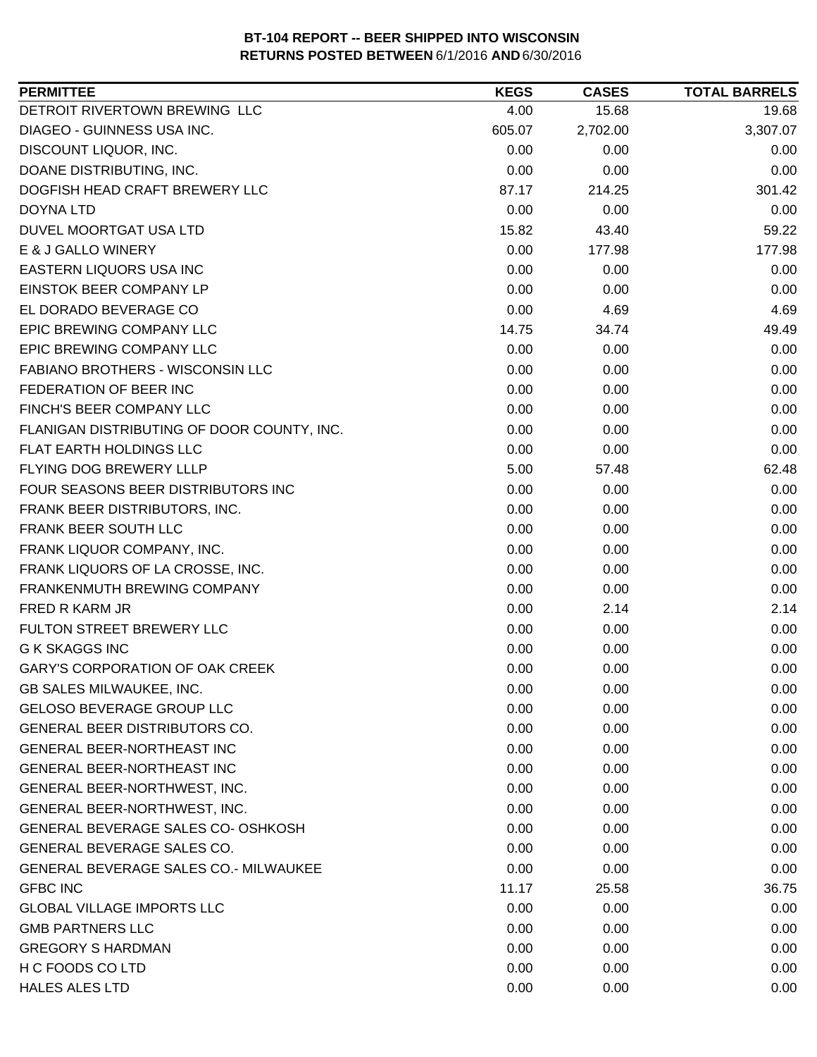| DETROIT RIVERTOWN BREWING LLC<br>4.00<br>15.68<br>19.68<br>DIAGEO - GUINNESS USA INC.<br>605.07<br>2,702.00<br>3,307.07<br>DISCOUNT LIQUOR, INC.<br>0.00<br>0.00<br>0.00<br>DOANE DISTRIBUTING, INC.<br>0.00<br>0.00<br>0.00<br>DOGFISH HEAD CRAFT BREWERY LLC<br>301.42<br>87.17<br>214.25<br>0.00<br>0.00<br><b>DOYNA LTD</b><br>0.00<br>DUVEL MOORTGAT USA LTD<br>15.82<br>43.40<br>59.22<br>E & J GALLO WINERY<br>0.00<br>177.98<br>177.98<br>0.00<br>0.00<br>0.00<br>EINSTOK BEER COMPANY LP<br>0.00<br>0.00<br>0.00<br>EL DORADO BEVERAGE CO<br>0.00<br>4.69<br>4.69<br>EPIC BREWING COMPANY LLC<br>49.49<br>14.75<br>34.74<br>0.00<br>0.00<br>0.00<br>FABIANO BROTHERS - WISCONSIN LLC<br>0.00<br>0.00<br>0.00<br>FEDERATION OF BEER INC<br>0.00<br>0.00<br>0.00<br>0.00<br>0.00<br>0.00<br>0.00<br>0.00<br>0.00<br>0.00<br>0.00<br>0.00<br>5.00<br>62.48<br>57.48<br>0.00<br>0.00<br>0.00<br>0.00<br>0.00<br>0.00<br>FRANK BEER DISTRIBUTORS, INC.<br>0.00<br>0.00<br>0.00<br>FRANK LIQUOR COMPANY, INC.<br>0.00<br>0.00<br>0.00<br>FRANK LIQUORS OF LA CROSSE, INC.<br>0.00<br>0.00<br>0.00<br>0.00<br>0.00<br>FRANKENMUTH BREWING COMPANY<br>0.00<br>0.00<br>2.14<br>2.14<br>0.00<br>0.00<br>0.00<br>0.00<br>0.00<br>0.00<br><b>GARY'S CORPORATION OF OAK CREEK</b><br>0.00<br>0.00<br>0.00<br>GB SALES MILWAUKEE, INC.<br>0.00<br>0.00<br>0.00<br>GELOSO BEVERAGE GROUP LLC<br>0.00<br>0.00<br>0.00<br><b>GENERAL BEER DISTRIBUTORS CO.</b><br>0.00<br>0.00<br>0.00<br>GENERAL BEER-NORTHEAST INC<br>0.00<br>0.00<br>0.00<br><b>GENERAL BEER-NORTHEAST INC</b><br>0.00<br>0.00<br>0.00<br>0.00<br>0.00<br>0.00<br>GENERAL BEER-NORTHWEST, INC.<br>0.00<br>0.00<br>0.00<br>GENERAL BEVERAGE SALES CO- OSHKOSH<br>0.00<br>0.00<br>0.00<br>GENERAL BEVERAGE SALES CO.<br>0.00<br>0.00<br>0.00<br>0.00<br>0.00<br>0.00<br><b>GFBC INC</b><br>11.17<br>25.58<br>36.75<br><b>GLOBAL VILLAGE IMPORTS LLC</b><br>0.00<br>0.00<br>0.00<br><b>GMB PARTNERS LLC</b><br>0.00<br>0.00<br>0.00<br>0.00<br>0.00<br>0.00<br>H C FOODS CO LTD<br>0.00<br>0.00<br>0.00 | <b>PERMITTEE</b>                             | <b>KEGS</b> | <b>CASES</b> | <b>TOTAL BARRELS</b> |
|-----------------------------------------------------------------------------------------------------------------------------------------------------------------------------------------------------------------------------------------------------------------------------------------------------------------------------------------------------------------------------------------------------------------------------------------------------------------------------------------------------------------------------------------------------------------------------------------------------------------------------------------------------------------------------------------------------------------------------------------------------------------------------------------------------------------------------------------------------------------------------------------------------------------------------------------------------------------------------------------------------------------------------------------------------------------------------------------------------------------------------------------------------------------------------------------------------------------------------------------------------------------------------------------------------------------------------------------------------------------------------------------------------------------------------------------------------------------------------------------------------------------------------------------------------------------------------------------------------------------------------------------------------------------------------------------------------------------------------------------------------------------------------------------------------------------------------------------------------------------------------------------------------------------------------------------------------------------------------------------------------------------------------------------------------------------|----------------------------------------------|-------------|--------------|----------------------|
|                                                                                                                                                                                                                                                                                                                                                                                                                                                                                                                                                                                                                                                                                                                                                                                                                                                                                                                                                                                                                                                                                                                                                                                                                                                                                                                                                                                                                                                                                                                                                                                                                                                                                                                                                                                                                                                                                                                                                                                                                                                                 |                                              |             |              |                      |
|                                                                                                                                                                                                                                                                                                                                                                                                                                                                                                                                                                                                                                                                                                                                                                                                                                                                                                                                                                                                                                                                                                                                                                                                                                                                                                                                                                                                                                                                                                                                                                                                                                                                                                                                                                                                                                                                                                                                                                                                                                                                 |                                              |             |              |                      |
|                                                                                                                                                                                                                                                                                                                                                                                                                                                                                                                                                                                                                                                                                                                                                                                                                                                                                                                                                                                                                                                                                                                                                                                                                                                                                                                                                                                                                                                                                                                                                                                                                                                                                                                                                                                                                                                                                                                                                                                                                                                                 |                                              |             |              |                      |
|                                                                                                                                                                                                                                                                                                                                                                                                                                                                                                                                                                                                                                                                                                                                                                                                                                                                                                                                                                                                                                                                                                                                                                                                                                                                                                                                                                                                                                                                                                                                                                                                                                                                                                                                                                                                                                                                                                                                                                                                                                                                 |                                              |             |              |                      |
|                                                                                                                                                                                                                                                                                                                                                                                                                                                                                                                                                                                                                                                                                                                                                                                                                                                                                                                                                                                                                                                                                                                                                                                                                                                                                                                                                                                                                                                                                                                                                                                                                                                                                                                                                                                                                                                                                                                                                                                                                                                                 |                                              |             |              |                      |
|                                                                                                                                                                                                                                                                                                                                                                                                                                                                                                                                                                                                                                                                                                                                                                                                                                                                                                                                                                                                                                                                                                                                                                                                                                                                                                                                                                                                                                                                                                                                                                                                                                                                                                                                                                                                                                                                                                                                                                                                                                                                 |                                              |             |              |                      |
|                                                                                                                                                                                                                                                                                                                                                                                                                                                                                                                                                                                                                                                                                                                                                                                                                                                                                                                                                                                                                                                                                                                                                                                                                                                                                                                                                                                                                                                                                                                                                                                                                                                                                                                                                                                                                                                                                                                                                                                                                                                                 |                                              |             |              |                      |
|                                                                                                                                                                                                                                                                                                                                                                                                                                                                                                                                                                                                                                                                                                                                                                                                                                                                                                                                                                                                                                                                                                                                                                                                                                                                                                                                                                                                                                                                                                                                                                                                                                                                                                                                                                                                                                                                                                                                                                                                                                                                 |                                              |             |              |                      |
|                                                                                                                                                                                                                                                                                                                                                                                                                                                                                                                                                                                                                                                                                                                                                                                                                                                                                                                                                                                                                                                                                                                                                                                                                                                                                                                                                                                                                                                                                                                                                                                                                                                                                                                                                                                                                                                                                                                                                                                                                                                                 | <b>EASTERN LIQUORS USA INC</b>               |             |              |                      |
|                                                                                                                                                                                                                                                                                                                                                                                                                                                                                                                                                                                                                                                                                                                                                                                                                                                                                                                                                                                                                                                                                                                                                                                                                                                                                                                                                                                                                                                                                                                                                                                                                                                                                                                                                                                                                                                                                                                                                                                                                                                                 |                                              |             |              |                      |
|                                                                                                                                                                                                                                                                                                                                                                                                                                                                                                                                                                                                                                                                                                                                                                                                                                                                                                                                                                                                                                                                                                                                                                                                                                                                                                                                                                                                                                                                                                                                                                                                                                                                                                                                                                                                                                                                                                                                                                                                                                                                 |                                              |             |              |                      |
|                                                                                                                                                                                                                                                                                                                                                                                                                                                                                                                                                                                                                                                                                                                                                                                                                                                                                                                                                                                                                                                                                                                                                                                                                                                                                                                                                                                                                                                                                                                                                                                                                                                                                                                                                                                                                                                                                                                                                                                                                                                                 |                                              |             |              |                      |
|                                                                                                                                                                                                                                                                                                                                                                                                                                                                                                                                                                                                                                                                                                                                                                                                                                                                                                                                                                                                                                                                                                                                                                                                                                                                                                                                                                                                                                                                                                                                                                                                                                                                                                                                                                                                                                                                                                                                                                                                                                                                 | EPIC BREWING COMPANY LLC                     |             |              |                      |
|                                                                                                                                                                                                                                                                                                                                                                                                                                                                                                                                                                                                                                                                                                                                                                                                                                                                                                                                                                                                                                                                                                                                                                                                                                                                                                                                                                                                                                                                                                                                                                                                                                                                                                                                                                                                                                                                                                                                                                                                                                                                 |                                              |             |              |                      |
|                                                                                                                                                                                                                                                                                                                                                                                                                                                                                                                                                                                                                                                                                                                                                                                                                                                                                                                                                                                                                                                                                                                                                                                                                                                                                                                                                                                                                                                                                                                                                                                                                                                                                                                                                                                                                                                                                                                                                                                                                                                                 |                                              |             |              |                      |
|                                                                                                                                                                                                                                                                                                                                                                                                                                                                                                                                                                                                                                                                                                                                                                                                                                                                                                                                                                                                                                                                                                                                                                                                                                                                                                                                                                                                                                                                                                                                                                                                                                                                                                                                                                                                                                                                                                                                                                                                                                                                 | FINCH'S BEER COMPANY LLC                     |             |              |                      |
|                                                                                                                                                                                                                                                                                                                                                                                                                                                                                                                                                                                                                                                                                                                                                                                                                                                                                                                                                                                                                                                                                                                                                                                                                                                                                                                                                                                                                                                                                                                                                                                                                                                                                                                                                                                                                                                                                                                                                                                                                                                                 | FLANIGAN DISTRIBUTING OF DOOR COUNTY, INC.   |             |              |                      |
|                                                                                                                                                                                                                                                                                                                                                                                                                                                                                                                                                                                                                                                                                                                                                                                                                                                                                                                                                                                                                                                                                                                                                                                                                                                                                                                                                                                                                                                                                                                                                                                                                                                                                                                                                                                                                                                                                                                                                                                                                                                                 | FLAT EARTH HOLDINGS LLC                      |             |              |                      |
|                                                                                                                                                                                                                                                                                                                                                                                                                                                                                                                                                                                                                                                                                                                                                                                                                                                                                                                                                                                                                                                                                                                                                                                                                                                                                                                                                                                                                                                                                                                                                                                                                                                                                                                                                                                                                                                                                                                                                                                                                                                                 | FLYING DOG BREWERY LLLP                      |             |              |                      |
|                                                                                                                                                                                                                                                                                                                                                                                                                                                                                                                                                                                                                                                                                                                                                                                                                                                                                                                                                                                                                                                                                                                                                                                                                                                                                                                                                                                                                                                                                                                                                                                                                                                                                                                                                                                                                                                                                                                                                                                                                                                                 | FOUR SEASONS BEER DISTRIBUTORS INC           |             |              |                      |
|                                                                                                                                                                                                                                                                                                                                                                                                                                                                                                                                                                                                                                                                                                                                                                                                                                                                                                                                                                                                                                                                                                                                                                                                                                                                                                                                                                                                                                                                                                                                                                                                                                                                                                                                                                                                                                                                                                                                                                                                                                                                 |                                              |             |              |                      |
|                                                                                                                                                                                                                                                                                                                                                                                                                                                                                                                                                                                                                                                                                                                                                                                                                                                                                                                                                                                                                                                                                                                                                                                                                                                                                                                                                                                                                                                                                                                                                                                                                                                                                                                                                                                                                                                                                                                                                                                                                                                                 | FRANK BEER SOUTH LLC                         |             |              |                      |
|                                                                                                                                                                                                                                                                                                                                                                                                                                                                                                                                                                                                                                                                                                                                                                                                                                                                                                                                                                                                                                                                                                                                                                                                                                                                                                                                                                                                                                                                                                                                                                                                                                                                                                                                                                                                                                                                                                                                                                                                                                                                 |                                              |             |              |                      |
|                                                                                                                                                                                                                                                                                                                                                                                                                                                                                                                                                                                                                                                                                                                                                                                                                                                                                                                                                                                                                                                                                                                                                                                                                                                                                                                                                                                                                                                                                                                                                                                                                                                                                                                                                                                                                                                                                                                                                                                                                                                                 |                                              |             |              |                      |
|                                                                                                                                                                                                                                                                                                                                                                                                                                                                                                                                                                                                                                                                                                                                                                                                                                                                                                                                                                                                                                                                                                                                                                                                                                                                                                                                                                                                                                                                                                                                                                                                                                                                                                                                                                                                                                                                                                                                                                                                                                                                 |                                              |             |              |                      |
|                                                                                                                                                                                                                                                                                                                                                                                                                                                                                                                                                                                                                                                                                                                                                                                                                                                                                                                                                                                                                                                                                                                                                                                                                                                                                                                                                                                                                                                                                                                                                                                                                                                                                                                                                                                                                                                                                                                                                                                                                                                                 | <b>FRED R KARM JR</b>                        |             |              |                      |
|                                                                                                                                                                                                                                                                                                                                                                                                                                                                                                                                                                                                                                                                                                                                                                                                                                                                                                                                                                                                                                                                                                                                                                                                                                                                                                                                                                                                                                                                                                                                                                                                                                                                                                                                                                                                                                                                                                                                                                                                                                                                 | FULTON STREET BREWERY LLC                    |             |              |                      |
|                                                                                                                                                                                                                                                                                                                                                                                                                                                                                                                                                                                                                                                                                                                                                                                                                                                                                                                                                                                                                                                                                                                                                                                                                                                                                                                                                                                                                                                                                                                                                                                                                                                                                                                                                                                                                                                                                                                                                                                                                                                                 | <b>G K SKAGGS INC</b>                        |             |              |                      |
|                                                                                                                                                                                                                                                                                                                                                                                                                                                                                                                                                                                                                                                                                                                                                                                                                                                                                                                                                                                                                                                                                                                                                                                                                                                                                                                                                                                                                                                                                                                                                                                                                                                                                                                                                                                                                                                                                                                                                                                                                                                                 |                                              |             |              |                      |
|                                                                                                                                                                                                                                                                                                                                                                                                                                                                                                                                                                                                                                                                                                                                                                                                                                                                                                                                                                                                                                                                                                                                                                                                                                                                                                                                                                                                                                                                                                                                                                                                                                                                                                                                                                                                                                                                                                                                                                                                                                                                 |                                              |             |              |                      |
|                                                                                                                                                                                                                                                                                                                                                                                                                                                                                                                                                                                                                                                                                                                                                                                                                                                                                                                                                                                                                                                                                                                                                                                                                                                                                                                                                                                                                                                                                                                                                                                                                                                                                                                                                                                                                                                                                                                                                                                                                                                                 |                                              |             |              |                      |
|                                                                                                                                                                                                                                                                                                                                                                                                                                                                                                                                                                                                                                                                                                                                                                                                                                                                                                                                                                                                                                                                                                                                                                                                                                                                                                                                                                                                                                                                                                                                                                                                                                                                                                                                                                                                                                                                                                                                                                                                                                                                 |                                              |             |              |                      |
|                                                                                                                                                                                                                                                                                                                                                                                                                                                                                                                                                                                                                                                                                                                                                                                                                                                                                                                                                                                                                                                                                                                                                                                                                                                                                                                                                                                                                                                                                                                                                                                                                                                                                                                                                                                                                                                                                                                                                                                                                                                                 |                                              |             |              |                      |
|                                                                                                                                                                                                                                                                                                                                                                                                                                                                                                                                                                                                                                                                                                                                                                                                                                                                                                                                                                                                                                                                                                                                                                                                                                                                                                                                                                                                                                                                                                                                                                                                                                                                                                                                                                                                                                                                                                                                                                                                                                                                 |                                              |             |              |                      |
|                                                                                                                                                                                                                                                                                                                                                                                                                                                                                                                                                                                                                                                                                                                                                                                                                                                                                                                                                                                                                                                                                                                                                                                                                                                                                                                                                                                                                                                                                                                                                                                                                                                                                                                                                                                                                                                                                                                                                                                                                                                                 | GENERAL BEER-NORTHWEST, INC.                 |             |              |                      |
|                                                                                                                                                                                                                                                                                                                                                                                                                                                                                                                                                                                                                                                                                                                                                                                                                                                                                                                                                                                                                                                                                                                                                                                                                                                                                                                                                                                                                                                                                                                                                                                                                                                                                                                                                                                                                                                                                                                                                                                                                                                                 |                                              |             |              |                      |
|                                                                                                                                                                                                                                                                                                                                                                                                                                                                                                                                                                                                                                                                                                                                                                                                                                                                                                                                                                                                                                                                                                                                                                                                                                                                                                                                                                                                                                                                                                                                                                                                                                                                                                                                                                                                                                                                                                                                                                                                                                                                 |                                              |             |              |                      |
|                                                                                                                                                                                                                                                                                                                                                                                                                                                                                                                                                                                                                                                                                                                                                                                                                                                                                                                                                                                                                                                                                                                                                                                                                                                                                                                                                                                                                                                                                                                                                                                                                                                                                                                                                                                                                                                                                                                                                                                                                                                                 |                                              |             |              |                      |
|                                                                                                                                                                                                                                                                                                                                                                                                                                                                                                                                                                                                                                                                                                                                                                                                                                                                                                                                                                                                                                                                                                                                                                                                                                                                                                                                                                                                                                                                                                                                                                                                                                                                                                                                                                                                                                                                                                                                                                                                                                                                 | <b>GENERAL BEVERAGE SALES CO.- MILWAUKEE</b> |             |              |                      |
|                                                                                                                                                                                                                                                                                                                                                                                                                                                                                                                                                                                                                                                                                                                                                                                                                                                                                                                                                                                                                                                                                                                                                                                                                                                                                                                                                                                                                                                                                                                                                                                                                                                                                                                                                                                                                                                                                                                                                                                                                                                                 |                                              |             |              |                      |
|                                                                                                                                                                                                                                                                                                                                                                                                                                                                                                                                                                                                                                                                                                                                                                                                                                                                                                                                                                                                                                                                                                                                                                                                                                                                                                                                                                                                                                                                                                                                                                                                                                                                                                                                                                                                                                                                                                                                                                                                                                                                 |                                              |             |              |                      |
|                                                                                                                                                                                                                                                                                                                                                                                                                                                                                                                                                                                                                                                                                                                                                                                                                                                                                                                                                                                                                                                                                                                                                                                                                                                                                                                                                                                                                                                                                                                                                                                                                                                                                                                                                                                                                                                                                                                                                                                                                                                                 |                                              |             |              |                      |
|                                                                                                                                                                                                                                                                                                                                                                                                                                                                                                                                                                                                                                                                                                                                                                                                                                                                                                                                                                                                                                                                                                                                                                                                                                                                                                                                                                                                                                                                                                                                                                                                                                                                                                                                                                                                                                                                                                                                                                                                                                                                 | <b>GREGORY S HARDMAN</b>                     |             |              |                      |
|                                                                                                                                                                                                                                                                                                                                                                                                                                                                                                                                                                                                                                                                                                                                                                                                                                                                                                                                                                                                                                                                                                                                                                                                                                                                                                                                                                                                                                                                                                                                                                                                                                                                                                                                                                                                                                                                                                                                                                                                                                                                 |                                              |             |              |                      |
|                                                                                                                                                                                                                                                                                                                                                                                                                                                                                                                                                                                                                                                                                                                                                                                                                                                                                                                                                                                                                                                                                                                                                                                                                                                                                                                                                                                                                                                                                                                                                                                                                                                                                                                                                                                                                                                                                                                                                                                                                                                                 | <b>HALES ALES LTD</b>                        | 0.00        | 0.00         | 0.00                 |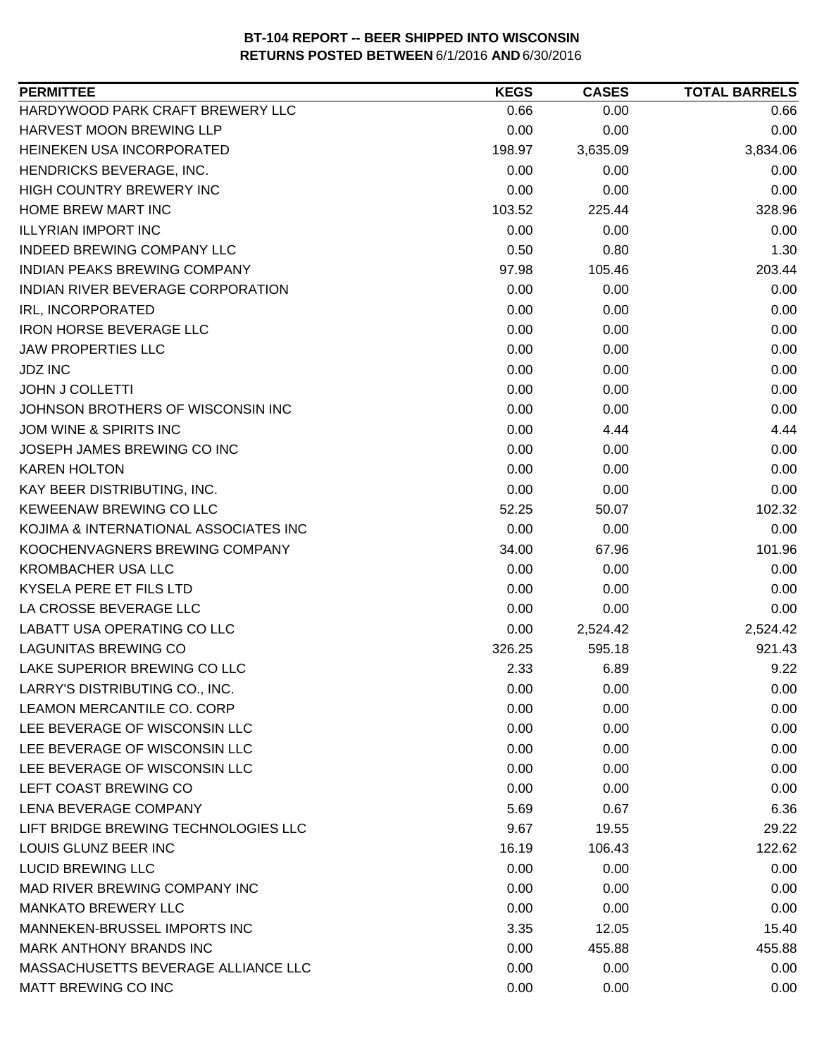| HARDYWOOD PARK CRAFT BREWERY LLC<br>0.66<br>0.00<br>0.66<br>HARVEST MOON BREWING LLP<br>0.00<br>0.00<br>0.00<br>HEINEKEN USA INCORPORATED<br>198.97<br>3,635.09<br>3,834.06<br>HENDRICKS BEVERAGE, INC.<br>0.00<br>0.00<br>0.00<br>HIGH COUNTRY BREWERY INC<br>0.00<br>0.00<br>0.00<br>HOME BREW MART INC<br>328.96<br>103.52<br>225.44<br><b>ILLYRIAN IMPORT INC</b><br>0.00<br>0.00<br>0.00<br><b>INDEED BREWING COMPANY LLC</b><br>0.50<br>0.80<br>1.30<br><b>INDIAN PEAKS BREWING COMPANY</b><br>97.98<br>105.46<br>203.44<br>INDIAN RIVER BEVERAGE CORPORATION<br>0.00<br>0.00<br>0.00<br>0.00<br>IRL, INCORPORATED<br>0.00<br>0.00<br>0.00<br><b>IRON HORSE BEVERAGE LLC</b><br>0.00<br>0.00<br><b>JAW PROPERTIES LLC</b><br>0.00<br>0.00<br>0.00<br><b>JDZ INC</b><br>0.00<br>0.00<br>0.00<br><b>JOHN J COLLETTI</b><br>0.00<br>0.00<br>0.00<br>JOHNSON BROTHERS OF WISCONSIN INC<br>0.00<br>0.00<br>0.00<br>JOM WINE & SPIRITS INC<br>0.00<br>4.44<br>4.44<br>JOSEPH JAMES BREWING CO INC<br>0.00<br>0.00<br>0.00<br><b>KAREN HOLTON</b><br>0.00<br>0.00<br>0.00<br>0.00<br>KAY BEER DISTRIBUTING, INC.<br>0.00<br>0.00<br>KEWEENAW BREWING CO LLC<br>52.25<br>102.32<br>50.07<br>KOJIMA & INTERNATIONAL ASSOCIATES INC<br>0.00<br>0.00<br>0.00<br>KOOCHENVAGNERS BREWING COMPANY<br>101.96<br>34.00<br>67.96<br><b>KROMBACHER USA LLC</b><br>0.00<br>0.00<br>0.00<br>KYSELA PERE ET FILS LTD<br>0.00<br>0.00<br>0.00<br>LA CROSSE BEVERAGE LLC<br>0.00<br>0.00<br>0.00<br><b>LABATT USA OPERATING CO LLC</b><br>0.00<br>2,524.42<br>2,524.42<br><b>LAGUNITAS BREWING CO</b><br>595.18<br>921.43<br>326.25<br>LAKE SUPERIOR BREWING CO LLC<br>2.33<br>6.89<br>9.22<br>LARRY'S DISTRIBUTING CO., INC.<br>0.00<br>0.00<br>0.00<br>0.00<br>0.00<br>0.00<br>0.00<br>0.00<br>0.00<br>0.00<br>0.00<br>0.00<br>0.00<br>0.00<br>0.00<br>0.00<br>0.00<br>0.00<br>6.36<br>5.69<br>0.67<br>LIFT BRIDGE BREWING TECHNOLOGIES LLC<br>9.67<br>19.55<br>29.22<br>LOUIS GLUNZ BEER INC<br>16.19<br>106.43<br>122.62<br>0.00<br>0.00<br>0.00<br>MAD RIVER BREWING COMPANY INC<br>0.00<br>0.00<br>0.00<br>0.00<br>0.00<br>0.00<br>MANNEKEN-BRUSSEL IMPORTS INC<br>12.05<br>15.40<br>3.35<br>0.00<br>455.88<br>455.88<br>MASSACHUSETTS BEVERAGE ALLIANCE LLC<br>0.00<br>0.00<br>0.00<br>MATT BREWING CO INC<br>0.00<br>0.00<br>0.00 | <b>PERMITTEE</b>               | <b>KEGS</b> | <b>CASES</b> | <b>TOTAL BARRELS</b> |
|--------------------------------------------------------------------------------------------------------------------------------------------------------------------------------------------------------------------------------------------------------------------------------------------------------------------------------------------------------------------------------------------------------------------------------------------------------------------------------------------------------------------------------------------------------------------------------------------------------------------------------------------------------------------------------------------------------------------------------------------------------------------------------------------------------------------------------------------------------------------------------------------------------------------------------------------------------------------------------------------------------------------------------------------------------------------------------------------------------------------------------------------------------------------------------------------------------------------------------------------------------------------------------------------------------------------------------------------------------------------------------------------------------------------------------------------------------------------------------------------------------------------------------------------------------------------------------------------------------------------------------------------------------------------------------------------------------------------------------------------------------------------------------------------------------------------------------------------------------------------------------------------------------------------------------------------------------------------------------------------------------------------------------------------------------------------------------------------------------------------------------------------------------------------------------------------------------------------------------------------------------------------------------------------------------------------------|--------------------------------|-------------|--------------|----------------------|
|                                                                                                                                                                                                                                                                                                                                                                                                                                                                                                                                                                                                                                                                                                                                                                                                                                                                                                                                                                                                                                                                                                                                                                                                                                                                                                                                                                                                                                                                                                                                                                                                                                                                                                                                                                                                                                                                                                                                                                                                                                                                                                                                                                                                                                                                                                                          |                                |             |              |                      |
|                                                                                                                                                                                                                                                                                                                                                                                                                                                                                                                                                                                                                                                                                                                                                                                                                                                                                                                                                                                                                                                                                                                                                                                                                                                                                                                                                                                                                                                                                                                                                                                                                                                                                                                                                                                                                                                                                                                                                                                                                                                                                                                                                                                                                                                                                                                          |                                |             |              |                      |
|                                                                                                                                                                                                                                                                                                                                                                                                                                                                                                                                                                                                                                                                                                                                                                                                                                                                                                                                                                                                                                                                                                                                                                                                                                                                                                                                                                                                                                                                                                                                                                                                                                                                                                                                                                                                                                                                                                                                                                                                                                                                                                                                                                                                                                                                                                                          |                                |             |              |                      |
|                                                                                                                                                                                                                                                                                                                                                                                                                                                                                                                                                                                                                                                                                                                                                                                                                                                                                                                                                                                                                                                                                                                                                                                                                                                                                                                                                                                                                                                                                                                                                                                                                                                                                                                                                                                                                                                                                                                                                                                                                                                                                                                                                                                                                                                                                                                          |                                |             |              |                      |
|                                                                                                                                                                                                                                                                                                                                                                                                                                                                                                                                                                                                                                                                                                                                                                                                                                                                                                                                                                                                                                                                                                                                                                                                                                                                                                                                                                                                                                                                                                                                                                                                                                                                                                                                                                                                                                                                                                                                                                                                                                                                                                                                                                                                                                                                                                                          |                                |             |              |                      |
|                                                                                                                                                                                                                                                                                                                                                                                                                                                                                                                                                                                                                                                                                                                                                                                                                                                                                                                                                                                                                                                                                                                                                                                                                                                                                                                                                                                                                                                                                                                                                                                                                                                                                                                                                                                                                                                                                                                                                                                                                                                                                                                                                                                                                                                                                                                          |                                |             |              |                      |
|                                                                                                                                                                                                                                                                                                                                                                                                                                                                                                                                                                                                                                                                                                                                                                                                                                                                                                                                                                                                                                                                                                                                                                                                                                                                                                                                                                                                                                                                                                                                                                                                                                                                                                                                                                                                                                                                                                                                                                                                                                                                                                                                                                                                                                                                                                                          |                                |             |              |                      |
|                                                                                                                                                                                                                                                                                                                                                                                                                                                                                                                                                                                                                                                                                                                                                                                                                                                                                                                                                                                                                                                                                                                                                                                                                                                                                                                                                                                                                                                                                                                                                                                                                                                                                                                                                                                                                                                                                                                                                                                                                                                                                                                                                                                                                                                                                                                          |                                |             |              |                      |
|                                                                                                                                                                                                                                                                                                                                                                                                                                                                                                                                                                                                                                                                                                                                                                                                                                                                                                                                                                                                                                                                                                                                                                                                                                                                                                                                                                                                                                                                                                                                                                                                                                                                                                                                                                                                                                                                                                                                                                                                                                                                                                                                                                                                                                                                                                                          |                                |             |              |                      |
|                                                                                                                                                                                                                                                                                                                                                                                                                                                                                                                                                                                                                                                                                                                                                                                                                                                                                                                                                                                                                                                                                                                                                                                                                                                                                                                                                                                                                                                                                                                                                                                                                                                                                                                                                                                                                                                                                                                                                                                                                                                                                                                                                                                                                                                                                                                          |                                |             |              |                      |
|                                                                                                                                                                                                                                                                                                                                                                                                                                                                                                                                                                                                                                                                                                                                                                                                                                                                                                                                                                                                                                                                                                                                                                                                                                                                                                                                                                                                                                                                                                                                                                                                                                                                                                                                                                                                                                                                                                                                                                                                                                                                                                                                                                                                                                                                                                                          |                                |             |              |                      |
|                                                                                                                                                                                                                                                                                                                                                                                                                                                                                                                                                                                                                                                                                                                                                                                                                                                                                                                                                                                                                                                                                                                                                                                                                                                                                                                                                                                                                                                                                                                                                                                                                                                                                                                                                                                                                                                                                                                                                                                                                                                                                                                                                                                                                                                                                                                          |                                |             |              |                      |
|                                                                                                                                                                                                                                                                                                                                                                                                                                                                                                                                                                                                                                                                                                                                                                                                                                                                                                                                                                                                                                                                                                                                                                                                                                                                                                                                                                                                                                                                                                                                                                                                                                                                                                                                                                                                                                                                                                                                                                                                                                                                                                                                                                                                                                                                                                                          |                                |             |              |                      |
|                                                                                                                                                                                                                                                                                                                                                                                                                                                                                                                                                                                                                                                                                                                                                                                                                                                                                                                                                                                                                                                                                                                                                                                                                                                                                                                                                                                                                                                                                                                                                                                                                                                                                                                                                                                                                                                                                                                                                                                                                                                                                                                                                                                                                                                                                                                          |                                |             |              |                      |
|                                                                                                                                                                                                                                                                                                                                                                                                                                                                                                                                                                                                                                                                                                                                                                                                                                                                                                                                                                                                                                                                                                                                                                                                                                                                                                                                                                                                                                                                                                                                                                                                                                                                                                                                                                                                                                                                                                                                                                                                                                                                                                                                                                                                                                                                                                                          |                                |             |              |                      |
|                                                                                                                                                                                                                                                                                                                                                                                                                                                                                                                                                                                                                                                                                                                                                                                                                                                                                                                                                                                                                                                                                                                                                                                                                                                                                                                                                                                                                                                                                                                                                                                                                                                                                                                                                                                                                                                                                                                                                                                                                                                                                                                                                                                                                                                                                                                          |                                |             |              |                      |
|                                                                                                                                                                                                                                                                                                                                                                                                                                                                                                                                                                                                                                                                                                                                                                                                                                                                                                                                                                                                                                                                                                                                                                                                                                                                                                                                                                                                                                                                                                                                                                                                                                                                                                                                                                                                                                                                                                                                                                                                                                                                                                                                                                                                                                                                                                                          |                                |             |              |                      |
|                                                                                                                                                                                                                                                                                                                                                                                                                                                                                                                                                                                                                                                                                                                                                                                                                                                                                                                                                                                                                                                                                                                                                                                                                                                                                                                                                                                                                                                                                                                                                                                                                                                                                                                                                                                                                                                                                                                                                                                                                                                                                                                                                                                                                                                                                                                          |                                |             |              |                      |
|                                                                                                                                                                                                                                                                                                                                                                                                                                                                                                                                                                                                                                                                                                                                                                                                                                                                                                                                                                                                                                                                                                                                                                                                                                                                                                                                                                                                                                                                                                                                                                                                                                                                                                                                                                                                                                                                                                                                                                                                                                                                                                                                                                                                                                                                                                                          |                                |             |              |                      |
|                                                                                                                                                                                                                                                                                                                                                                                                                                                                                                                                                                                                                                                                                                                                                                                                                                                                                                                                                                                                                                                                                                                                                                                                                                                                                                                                                                                                                                                                                                                                                                                                                                                                                                                                                                                                                                                                                                                                                                                                                                                                                                                                                                                                                                                                                                                          |                                |             |              |                      |
|                                                                                                                                                                                                                                                                                                                                                                                                                                                                                                                                                                                                                                                                                                                                                                                                                                                                                                                                                                                                                                                                                                                                                                                                                                                                                                                                                                                                                                                                                                                                                                                                                                                                                                                                                                                                                                                                                                                                                                                                                                                                                                                                                                                                                                                                                                                          |                                |             |              |                      |
|                                                                                                                                                                                                                                                                                                                                                                                                                                                                                                                                                                                                                                                                                                                                                                                                                                                                                                                                                                                                                                                                                                                                                                                                                                                                                                                                                                                                                                                                                                                                                                                                                                                                                                                                                                                                                                                                                                                                                                                                                                                                                                                                                                                                                                                                                                                          |                                |             |              |                      |
|                                                                                                                                                                                                                                                                                                                                                                                                                                                                                                                                                                                                                                                                                                                                                                                                                                                                                                                                                                                                                                                                                                                                                                                                                                                                                                                                                                                                                                                                                                                                                                                                                                                                                                                                                                                                                                                                                                                                                                                                                                                                                                                                                                                                                                                                                                                          |                                |             |              |                      |
|                                                                                                                                                                                                                                                                                                                                                                                                                                                                                                                                                                                                                                                                                                                                                                                                                                                                                                                                                                                                                                                                                                                                                                                                                                                                                                                                                                                                                                                                                                                                                                                                                                                                                                                                                                                                                                                                                                                                                                                                                                                                                                                                                                                                                                                                                                                          |                                |             |              |                      |
|                                                                                                                                                                                                                                                                                                                                                                                                                                                                                                                                                                                                                                                                                                                                                                                                                                                                                                                                                                                                                                                                                                                                                                                                                                                                                                                                                                                                                                                                                                                                                                                                                                                                                                                                                                                                                                                                                                                                                                                                                                                                                                                                                                                                                                                                                                                          |                                |             |              |                      |
|                                                                                                                                                                                                                                                                                                                                                                                                                                                                                                                                                                                                                                                                                                                                                                                                                                                                                                                                                                                                                                                                                                                                                                                                                                                                                                                                                                                                                                                                                                                                                                                                                                                                                                                                                                                                                                                                                                                                                                                                                                                                                                                                                                                                                                                                                                                          |                                |             |              |                      |
|                                                                                                                                                                                                                                                                                                                                                                                                                                                                                                                                                                                                                                                                                                                                                                                                                                                                                                                                                                                                                                                                                                                                                                                                                                                                                                                                                                                                                                                                                                                                                                                                                                                                                                                                                                                                                                                                                                                                                                                                                                                                                                                                                                                                                                                                                                                          |                                |             |              |                      |
|                                                                                                                                                                                                                                                                                                                                                                                                                                                                                                                                                                                                                                                                                                                                                                                                                                                                                                                                                                                                                                                                                                                                                                                                                                                                                                                                                                                                                                                                                                                                                                                                                                                                                                                                                                                                                                                                                                                                                                                                                                                                                                                                                                                                                                                                                                                          |                                |             |              |                      |
|                                                                                                                                                                                                                                                                                                                                                                                                                                                                                                                                                                                                                                                                                                                                                                                                                                                                                                                                                                                                                                                                                                                                                                                                                                                                                                                                                                                                                                                                                                                                                                                                                                                                                                                                                                                                                                                                                                                                                                                                                                                                                                                                                                                                                                                                                                                          |                                |             |              |                      |
|                                                                                                                                                                                                                                                                                                                                                                                                                                                                                                                                                                                                                                                                                                                                                                                                                                                                                                                                                                                                                                                                                                                                                                                                                                                                                                                                                                                                                                                                                                                                                                                                                                                                                                                                                                                                                                                                                                                                                                                                                                                                                                                                                                                                                                                                                                                          |                                |             |              |                      |
|                                                                                                                                                                                                                                                                                                                                                                                                                                                                                                                                                                                                                                                                                                                                                                                                                                                                                                                                                                                                                                                                                                                                                                                                                                                                                                                                                                                                                                                                                                                                                                                                                                                                                                                                                                                                                                                                                                                                                                                                                                                                                                                                                                                                                                                                                                                          | LEAMON MERCANTILE CO. CORP     |             |              |                      |
|                                                                                                                                                                                                                                                                                                                                                                                                                                                                                                                                                                                                                                                                                                                                                                                                                                                                                                                                                                                                                                                                                                                                                                                                                                                                                                                                                                                                                                                                                                                                                                                                                                                                                                                                                                                                                                                                                                                                                                                                                                                                                                                                                                                                                                                                                                                          | LEE BEVERAGE OF WISCONSIN LLC  |             |              |                      |
|                                                                                                                                                                                                                                                                                                                                                                                                                                                                                                                                                                                                                                                                                                                                                                                                                                                                                                                                                                                                                                                                                                                                                                                                                                                                                                                                                                                                                                                                                                                                                                                                                                                                                                                                                                                                                                                                                                                                                                                                                                                                                                                                                                                                                                                                                                                          | LEE BEVERAGE OF WISCONSIN LLC  |             |              |                      |
|                                                                                                                                                                                                                                                                                                                                                                                                                                                                                                                                                                                                                                                                                                                                                                                                                                                                                                                                                                                                                                                                                                                                                                                                                                                                                                                                                                                                                                                                                                                                                                                                                                                                                                                                                                                                                                                                                                                                                                                                                                                                                                                                                                                                                                                                                                                          | LEE BEVERAGE OF WISCONSIN LLC  |             |              |                      |
|                                                                                                                                                                                                                                                                                                                                                                                                                                                                                                                                                                                                                                                                                                                                                                                                                                                                                                                                                                                                                                                                                                                                                                                                                                                                                                                                                                                                                                                                                                                                                                                                                                                                                                                                                                                                                                                                                                                                                                                                                                                                                                                                                                                                                                                                                                                          | LEFT COAST BREWING CO          |             |              |                      |
|                                                                                                                                                                                                                                                                                                                                                                                                                                                                                                                                                                                                                                                                                                                                                                                                                                                                                                                                                                                                                                                                                                                                                                                                                                                                                                                                                                                                                                                                                                                                                                                                                                                                                                                                                                                                                                                                                                                                                                                                                                                                                                                                                                                                                                                                                                                          | <b>LENA BEVERAGE COMPANY</b>   |             |              |                      |
|                                                                                                                                                                                                                                                                                                                                                                                                                                                                                                                                                                                                                                                                                                                                                                                                                                                                                                                                                                                                                                                                                                                                                                                                                                                                                                                                                                                                                                                                                                                                                                                                                                                                                                                                                                                                                                                                                                                                                                                                                                                                                                                                                                                                                                                                                                                          |                                |             |              |                      |
|                                                                                                                                                                                                                                                                                                                                                                                                                                                                                                                                                                                                                                                                                                                                                                                                                                                                                                                                                                                                                                                                                                                                                                                                                                                                                                                                                                                                                                                                                                                                                                                                                                                                                                                                                                                                                                                                                                                                                                                                                                                                                                                                                                                                                                                                                                                          |                                |             |              |                      |
|                                                                                                                                                                                                                                                                                                                                                                                                                                                                                                                                                                                                                                                                                                                                                                                                                                                                                                                                                                                                                                                                                                                                                                                                                                                                                                                                                                                                                                                                                                                                                                                                                                                                                                                                                                                                                                                                                                                                                                                                                                                                                                                                                                                                                                                                                                                          | <b>LUCID BREWING LLC</b>       |             |              |                      |
|                                                                                                                                                                                                                                                                                                                                                                                                                                                                                                                                                                                                                                                                                                                                                                                                                                                                                                                                                                                                                                                                                                                                                                                                                                                                                                                                                                                                                                                                                                                                                                                                                                                                                                                                                                                                                                                                                                                                                                                                                                                                                                                                                                                                                                                                                                                          |                                |             |              |                      |
|                                                                                                                                                                                                                                                                                                                                                                                                                                                                                                                                                                                                                                                                                                                                                                                                                                                                                                                                                                                                                                                                                                                                                                                                                                                                                                                                                                                                                                                                                                                                                                                                                                                                                                                                                                                                                                                                                                                                                                                                                                                                                                                                                                                                                                                                                                                          | <b>MANKATO BREWERY LLC</b>     |             |              |                      |
|                                                                                                                                                                                                                                                                                                                                                                                                                                                                                                                                                                                                                                                                                                                                                                                                                                                                                                                                                                                                                                                                                                                                                                                                                                                                                                                                                                                                                                                                                                                                                                                                                                                                                                                                                                                                                                                                                                                                                                                                                                                                                                                                                                                                                                                                                                                          |                                |             |              |                      |
|                                                                                                                                                                                                                                                                                                                                                                                                                                                                                                                                                                                                                                                                                                                                                                                                                                                                                                                                                                                                                                                                                                                                                                                                                                                                                                                                                                                                                                                                                                                                                                                                                                                                                                                                                                                                                                                                                                                                                                                                                                                                                                                                                                                                                                                                                                                          | <b>MARK ANTHONY BRANDS INC</b> |             |              |                      |
|                                                                                                                                                                                                                                                                                                                                                                                                                                                                                                                                                                                                                                                                                                                                                                                                                                                                                                                                                                                                                                                                                                                                                                                                                                                                                                                                                                                                                                                                                                                                                                                                                                                                                                                                                                                                                                                                                                                                                                                                                                                                                                                                                                                                                                                                                                                          |                                |             |              |                      |
|                                                                                                                                                                                                                                                                                                                                                                                                                                                                                                                                                                                                                                                                                                                                                                                                                                                                                                                                                                                                                                                                                                                                                                                                                                                                                                                                                                                                                                                                                                                                                                                                                                                                                                                                                                                                                                                                                                                                                                                                                                                                                                                                                                                                                                                                                                                          |                                |             |              |                      |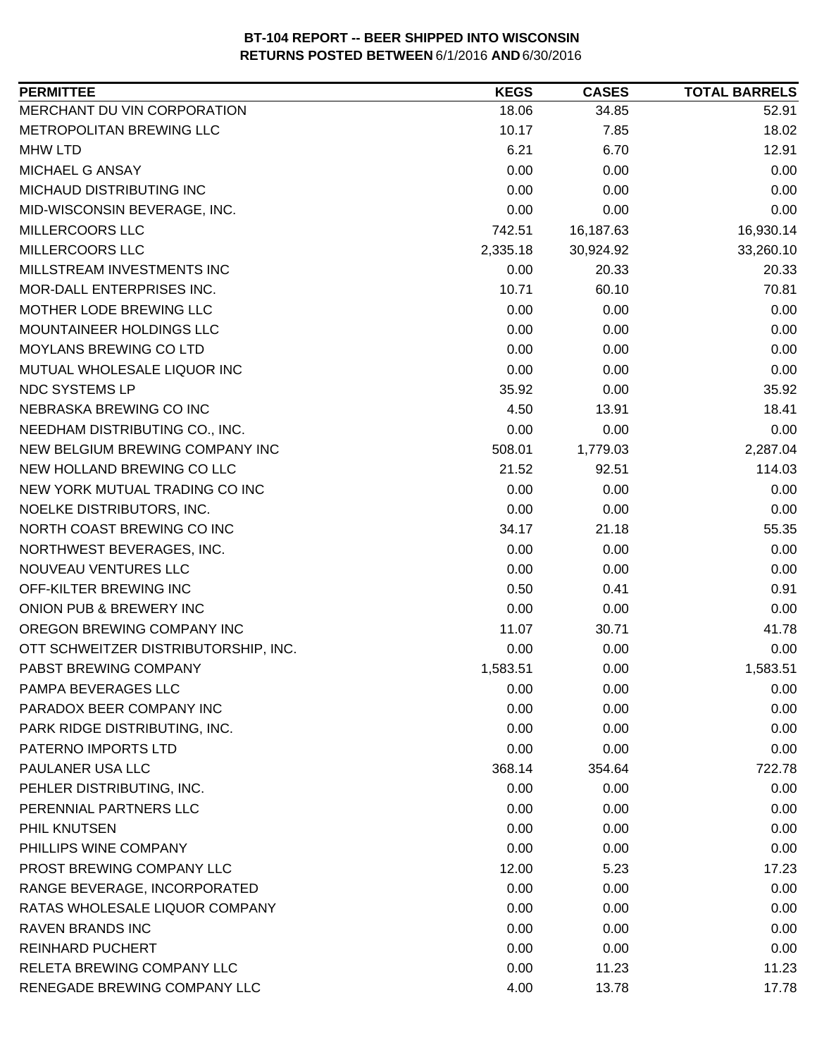| <b>PERMITTEE</b>                     | <b>KEGS</b> | <b>CASES</b> | <b>TOTAL BARRELS</b> |
|--------------------------------------|-------------|--------------|----------------------|
| MERCHANT DU VIN CORPORATION          | 18.06       | 34.85        | 52.91                |
| METROPOLITAN BREWING LLC             | 10.17       | 7.85         | 18.02                |
| <b>MHW LTD</b>                       | 6.21        | 6.70         | 12.91                |
| MICHAEL G ANSAY                      | 0.00        | 0.00         | 0.00                 |
| MICHAUD DISTRIBUTING INC             | 0.00        | 0.00         | 0.00                 |
| MID-WISCONSIN BEVERAGE, INC.         | 0.00        | 0.00         | 0.00                 |
| MILLERCOORS LLC                      | 742.51      | 16,187.63    | 16,930.14            |
| MILLERCOORS LLC                      | 2,335.18    | 30,924.92    | 33,260.10            |
| MILLSTREAM INVESTMENTS INC           | 0.00        | 20.33        | 20.33                |
| MOR-DALL ENTERPRISES INC.            | 10.71       | 60.10        | 70.81                |
| MOTHER LODE BREWING LLC              | 0.00        | 0.00         | 0.00                 |
| MOUNTAINEER HOLDINGS LLC             | 0.00        | 0.00         | 0.00                 |
| MOYLANS BREWING CO LTD               | 0.00        | 0.00         | 0.00                 |
| MUTUAL WHOLESALE LIQUOR INC          | 0.00        | 0.00         | 0.00                 |
| NDC SYSTEMS LP                       | 35.92       | 0.00         | 35.92                |
| NEBRASKA BREWING CO INC              | 4.50        | 13.91        | 18.41                |
| NEEDHAM DISTRIBUTING CO., INC.       | 0.00        | 0.00         | 0.00                 |
| NEW BELGIUM BREWING COMPANY INC      | 508.01      | 1,779.03     | 2,287.04             |
| NEW HOLLAND BREWING CO LLC           | 21.52       | 92.51        | 114.03               |
| NEW YORK MUTUAL TRADING CO INC       | 0.00        | 0.00         | 0.00                 |
| NOELKE DISTRIBUTORS, INC.            | 0.00        | 0.00         | 0.00                 |
| NORTH COAST BREWING CO INC           | 34.17       | 21.18        | 55.35                |
| NORTHWEST BEVERAGES, INC.            | 0.00        | 0.00         | 0.00                 |
| NOUVEAU VENTURES LLC                 | 0.00        | 0.00         | 0.00                 |
| OFF-KILTER BREWING INC               | 0.50        | 0.41         | 0.91                 |
| ONION PUB & BREWERY INC              | 0.00        | 0.00         | 0.00                 |
| OREGON BREWING COMPANY INC           | 11.07       | 30.71        | 41.78                |
| OTT SCHWEITZER DISTRIBUTORSHIP, INC. | 0.00        | 0.00         | 0.00                 |
| PABST BREWING COMPANY                | 1,583.51    | 0.00         | 1,583.51             |
| PAMPA BEVERAGES LLC                  | 0.00        | 0.00         | 0.00                 |
| PARADOX BEER COMPANY INC             | 0.00        | 0.00         | 0.00                 |
| PARK RIDGE DISTRIBUTING, INC.        | 0.00        | 0.00         | 0.00                 |
| PATERNO IMPORTS LTD                  | 0.00        | 0.00         | 0.00                 |
| PAULANER USA LLC                     | 368.14      | 354.64       | 722.78               |
| PEHLER DISTRIBUTING, INC.            | 0.00        | 0.00         | 0.00                 |
| PERENNIAL PARTNERS LLC               | 0.00        | 0.00         | 0.00                 |
| PHIL KNUTSEN                         | 0.00        | 0.00         | 0.00                 |
| PHILLIPS WINE COMPANY                | 0.00        | 0.00         | 0.00                 |
| PROST BREWING COMPANY LLC            | 12.00       | 5.23         | 17.23                |
| RANGE BEVERAGE, INCORPORATED         | 0.00        | 0.00         | 0.00                 |
| RATAS WHOLESALE LIQUOR COMPANY       | 0.00        | 0.00         | 0.00                 |
| <b>RAVEN BRANDS INC</b>              | 0.00        | 0.00         | 0.00                 |
| <b>REINHARD PUCHERT</b>              | 0.00        | 0.00         | 0.00                 |
| RELETA BREWING COMPANY LLC           | 0.00        | 11.23        | 11.23                |
| RENEGADE BREWING COMPANY LLC         | 4.00        | 13.78        | 17.78                |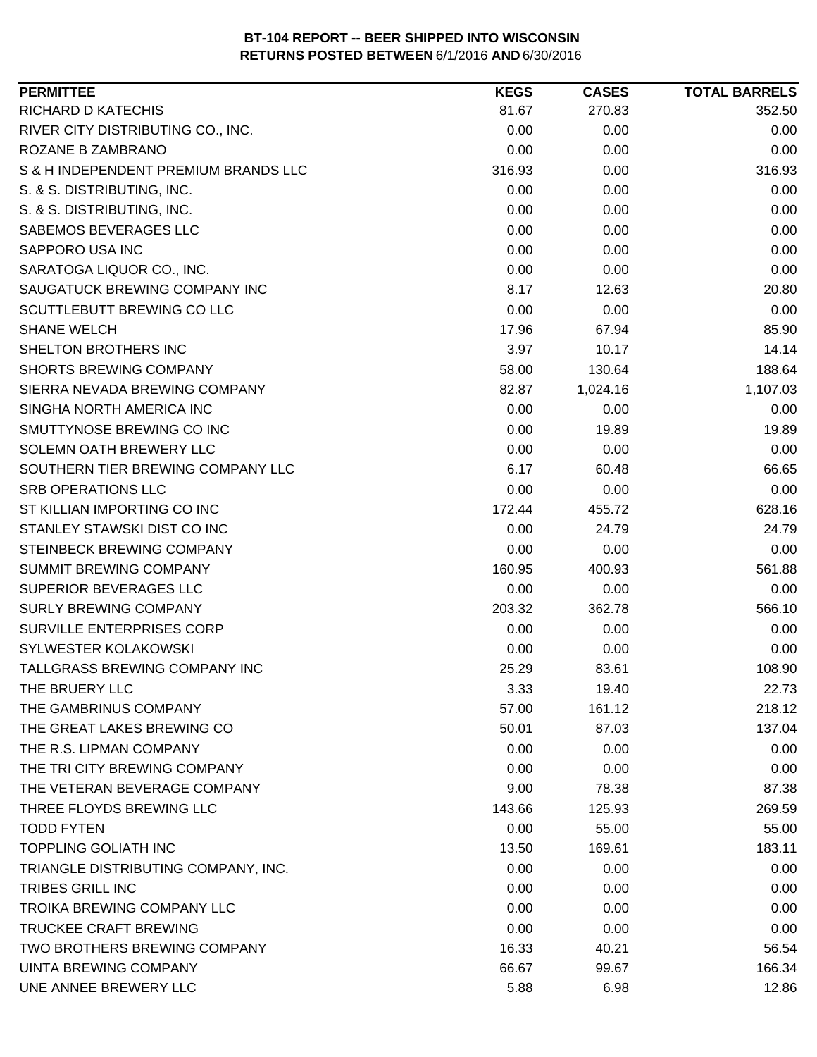| <b>PERMITTEE</b>                     | <b>KEGS</b> | <b>CASES</b> | <b>TOTAL BARRELS</b> |
|--------------------------------------|-------------|--------------|----------------------|
| RICHARD D KATECHIS                   | 81.67       | 270.83       | 352.50               |
| RIVER CITY DISTRIBUTING CO., INC.    | 0.00        | 0.00         | 0.00                 |
| ROZANE B ZAMBRANO                    | 0.00        | 0.00         | 0.00                 |
| S & H INDEPENDENT PREMIUM BRANDS LLC | 316.93      | 0.00         | 316.93               |
| S. & S. DISTRIBUTING, INC.           | 0.00        | 0.00         | 0.00                 |
| S. & S. DISTRIBUTING, INC.           | 0.00        | 0.00         | 0.00                 |
| SABEMOS BEVERAGES LLC                | 0.00        | 0.00         | 0.00                 |
| SAPPORO USA INC                      | 0.00        | 0.00         | 0.00                 |
| SARATOGA LIQUOR CO., INC.            | 0.00        | 0.00         | 0.00                 |
| SAUGATUCK BREWING COMPANY INC        | 8.17        | 12.63        | 20.80                |
| SCUTTLEBUTT BREWING CO LLC           | 0.00        | 0.00         | 0.00                 |
| <b>SHANE WELCH</b>                   | 17.96       | 67.94        | 85.90                |
| SHELTON BROTHERS INC                 | 3.97        | 10.17        | 14.14                |
| <b>SHORTS BREWING COMPANY</b>        | 58.00       | 130.64       | 188.64               |
| SIERRA NEVADA BREWING COMPANY        | 82.87       | 1,024.16     | 1,107.03             |
| SINGHA NORTH AMERICA INC             | 0.00        | 0.00         | 0.00                 |
| SMUTTYNOSE BREWING CO INC            | 0.00        | 19.89        | 19.89                |
| SOLEMN OATH BREWERY LLC              | 0.00        | 0.00         | 0.00                 |
| SOUTHERN TIER BREWING COMPANY LLC    | 6.17        | 60.48        | 66.65                |
| <b>SRB OPERATIONS LLC</b>            | 0.00        | 0.00         | 0.00                 |
| ST KILLIAN IMPORTING CO INC          | 172.44      | 455.72       | 628.16               |
| STANLEY STAWSKI DIST CO INC          | 0.00        | 24.79        | 24.79                |
| STEINBECK BREWING COMPANY            | 0.00        | 0.00         | 0.00                 |
| <b>SUMMIT BREWING COMPANY</b>        | 160.95      | 400.93       | 561.88               |
| SUPERIOR BEVERAGES LLC               | 0.00        | 0.00         | 0.00                 |
| <b>SURLY BREWING COMPANY</b>         | 203.32      | 362.78       | 566.10               |
| SURVILLE ENTERPRISES CORP            | 0.00        | 0.00         | 0.00                 |
| SYLWESTER KOLAKOWSKI                 | 0.00        | 0.00         | 0.00                 |
| TALLGRASS BREWING COMPANY INC        | 25.29       | 83.61        | 108.90               |
| THE BRUERY LLC                       | 3.33        | 19.40        | 22.73                |
| THE GAMBRINUS COMPANY                | 57.00       | 161.12       | 218.12               |
| THE GREAT LAKES BREWING CO           | 50.01       | 87.03        | 137.04               |
| THE R.S. LIPMAN COMPANY              | 0.00        | 0.00         | 0.00                 |
| THE TRI CITY BREWING COMPANY         | 0.00        | 0.00         | 0.00                 |
| THE VETERAN BEVERAGE COMPANY         | 9.00        | 78.38        | 87.38                |
| THREE FLOYDS BREWING LLC             | 143.66      | 125.93       | 269.59               |
| <b>TODD FYTEN</b>                    | 0.00        | 55.00        | 55.00                |
| <b>TOPPLING GOLIATH INC</b>          | 13.50       | 169.61       | 183.11               |
| TRIANGLE DISTRIBUTING COMPANY, INC.  | 0.00        | 0.00         | 0.00                 |
| TRIBES GRILL INC                     | 0.00        | 0.00         | 0.00                 |
| <b>TROIKA BREWING COMPANY LLC</b>    | 0.00        | 0.00         | 0.00                 |
| <b>TRUCKEE CRAFT BREWING</b>         | 0.00        | 0.00         | 0.00                 |
| TWO BROTHERS BREWING COMPANY         | 16.33       | 40.21        | 56.54                |
| UINTA BREWING COMPANY                | 66.67       | 99.67        | 166.34               |
| UNE ANNEE BREWERY LLC                | 5.88        | 6.98         | 12.86                |